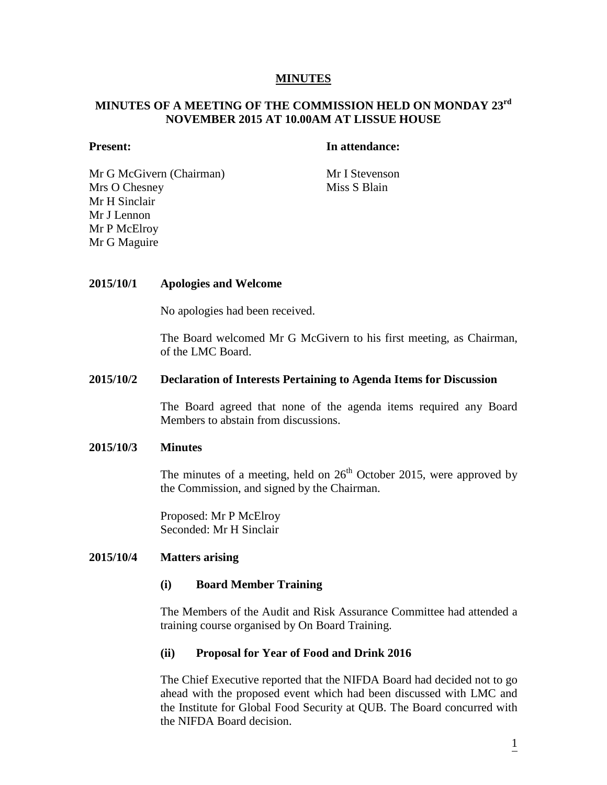## **MINUTES**

# **MINUTES OF A MEETING OF THE COMMISSION HELD ON MONDAY 23rd NOVEMBER 2015 AT 10.00AM AT LISSUE HOUSE**

## **Present: In attendance:**

Mr G McGivern (Chairman) Mr I Stevenson Mrs O Chesney Mr H Sinclair Mr J Lennon Mr P McElroy Mr G Maguire

Miss S Blain

## **2015/10/1 Apologies and Welcome**

No apologies had been received.

The Board welcomed Mr G McGivern to his first meeting, as Chairman, of the LMC Board.

## **2015/10/2 Declaration of Interests Pertaining to Agenda Items for Discussion**

The Board agreed that none of the agenda items required any Board Members to abstain from discussions.

## **2015/10/3 Minutes**

The minutes of a meeting, held on  $26<sup>th</sup>$  October 2015, were approved by the Commission, and signed by the Chairman.

Proposed: Mr P McElroy Seconded: Mr H Sinclair

## **2015/10/4 Matters arising**

## **(i) Board Member Training**

The Members of the Audit and Risk Assurance Committee had attended a training course organised by On Board Training.

## **(ii) Proposal for Year of Food and Drink 2016**

The Chief Executive reported that the NIFDA Board had decided not to go ahead with the proposed event which had been discussed with LMC and the Institute for Global Food Security at QUB. The Board concurred with the NIFDA Board decision.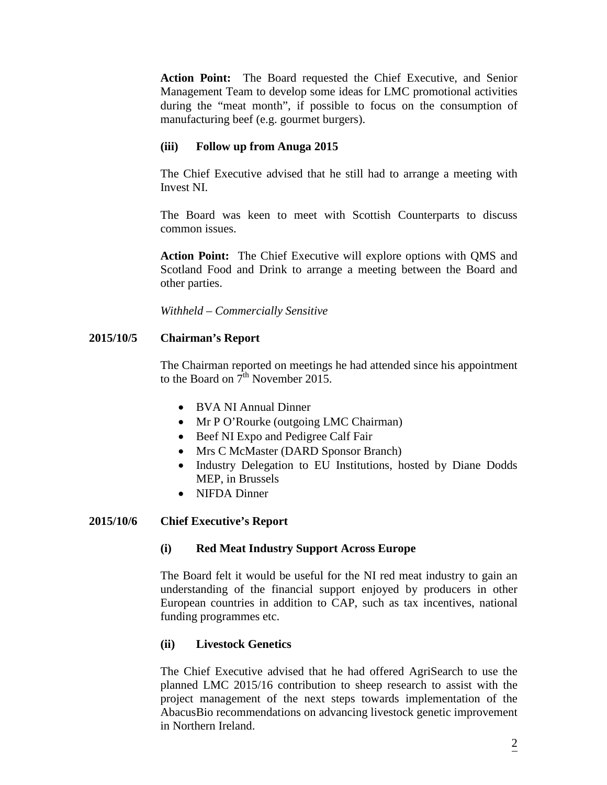**Action Point:** The Board requested the Chief Executive, and Senior Management Team to develop some ideas for LMC promotional activities during the "meat month", if possible to focus on the consumption of manufacturing beef (e.g. gourmet burgers).

# **(iii) Follow up from Anuga 2015**

The Chief Executive advised that he still had to arrange a meeting with Invest NI.

The Board was keen to meet with Scottish Counterparts to discuss common issues.

**Action Point:** The Chief Executive will explore options with QMS and Scotland Food and Drink to arrange a meeting between the Board and other parties.

*Withheld – Commercially Sensitive*

# **2015/10/5 Chairman's Report**

The Chairman reported on meetings he had attended since his appointment to the Board on  $7^{\text{th}}$  November 2015.

- BVA NI Annual Dinner
- Mr P O'Rourke (outgoing LMC Chairman)
- Beef NI Expo and Pedigree Calf Fair
- Mrs C McMaster (DARD Sponsor Branch)
- Industry Delegation to EU Institutions, hosted by Diane Dodds MEP, in Brussels
- NIFDA Dinner

## **2015/10/6 Chief Executive's Report**

## **(i) Red Meat Industry Support Across Europe**

The Board felt it would be useful for the NI red meat industry to gain an understanding of the financial support enjoyed by producers in other European countries in addition to CAP, such as tax incentives, national funding programmes etc.

## **(ii) Livestock Genetics**

The Chief Executive advised that he had offered AgriSearch to use the planned LMC 2015/16 contribution to sheep research to assist with the project management of the next steps towards implementation of the AbacusBio recommendations on advancing livestock genetic improvement in Northern Ireland.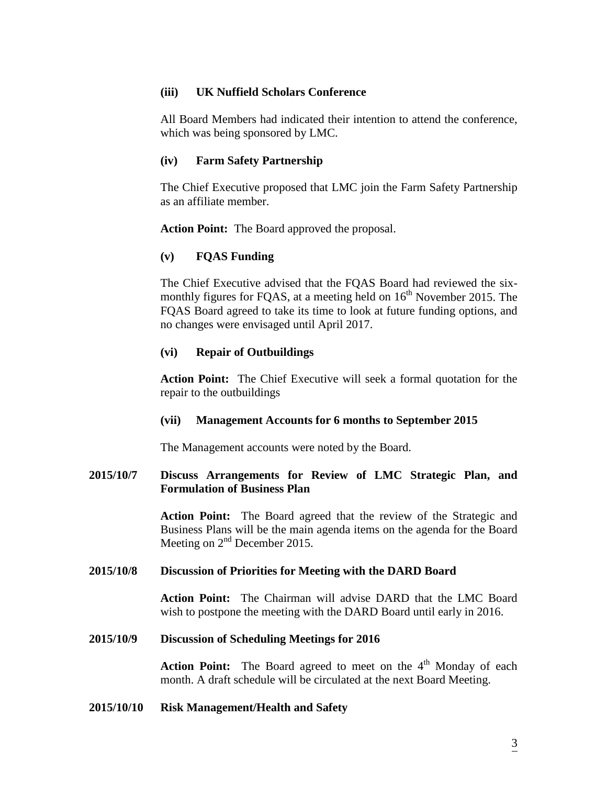## **(iii) UK Nuffield Scholars Conference**

All Board Members had indicated their intention to attend the conference, which was being sponsored by LMC.

## **(iv) Farm Safety Partnership**

The Chief Executive proposed that LMC join the Farm Safety Partnership as an affiliate member.

**Action Point:** The Board approved the proposal.

## **(v) FQAS Funding**

The Chief Executive advised that the FQAS Board had reviewed the sixmonthly figures for FQAS, at a meeting held on  $16<sup>th</sup>$  November 2015. The FQAS Board agreed to take its time to look at future funding options, and no changes were envisaged until April 2017.

## **(vi) Repair of Outbuildings**

**Action Point:** The Chief Executive will seek a formal quotation for the repair to the outbuildings

## **(vii) Management Accounts for 6 months to September 2015**

The Management accounts were noted by the Board.

# **2015/10/7 Discuss Arrangements for Review of LMC Strategic Plan, and Formulation of Business Plan**

**Action Point:** The Board agreed that the review of the Strategic and Business Plans will be the main agenda items on the agenda for the Board Meeting on 2<sup>nd</sup> December 2015.

## **2015/10/8 Discussion of Priorities for Meeting with the DARD Board**

**Action Point:** The Chairman will advise DARD that the LMC Board wish to postpone the meeting with the DARD Board until early in 2016.

## **2015/10/9 Discussion of Scheduling Meetings for 2016**

**Action Point:** The Board agreed to meet on the 4<sup>th</sup> Monday of each month. A draft schedule will be circulated at the next Board Meeting.

## **2015/10/10 Risk Management/Health and Safety**